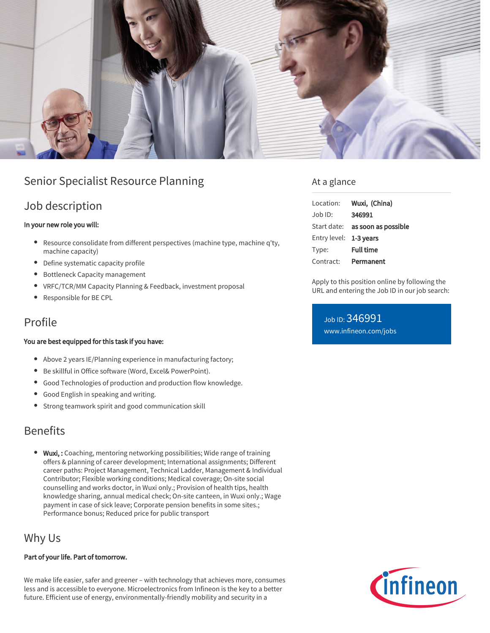

# Senior Specialist Resource Planning

### Job description

#### In your new role you will:

- Resource consolidate from different perspectives (machine type, machine q'ty, machine capacity)
- Define systematic capacity profile
- Bottleneck Capacity management
- VRFC/TCR/MM Capacity Planning & Feedback, investment proposal
- Responsible for BE CPL

### Profile

#### You are best equipped for this task if you have:

- Above 2 years IE/Planning experience in manufacturing factory;
- Be skillful in Office software (Word, Excel& PowerPoint).
- Good Technologies of production and production flow knowledge.
- Good English in speaking and writing.
- Strong teamwork spirit and good communication skill

## Benefits

• Wuxi,: Coaching, mentoring networking possibilities; Wide range of training offers & planning of career development; International assignments; Different career paths: Project Management, Technical Ladder, Management & Individual Contributor; Flexible working conditions; Medical coverage; On-site social counselling and works doctor, in Wuxi only.; Provision of health tips, health knowledge sharing, annual medical check; On-site canteen, in Wuxi only.; Wage payment in case of sick leave; Corporate pension benefits in some sites.; Performance bonus; Reduced price for public transport

# Why Us

#### Part of your life. Part of tomorrow.

We make life easier, safer and greener – with technology that achieves more, consumes less and is accessible to everyone. Microelectronics from Infineon is the key to a better future. Efficient use of energy, environmentally-friendly mobility and security in a

### At a glance

| Location:              | Wuxi, (China)                   |
|------------------------|---------------------------------|
| $Job$ ID:              | 346991                          |
|                        | Start date: as soon as possible |
| Entry level: 1-3 years |                                 |
| Type:                  | <b>Full time</b>                |
| Contract:              | Permanent                       |

Apply to this position online by following the URL and entering the Job ID in our job search:

Job ID: 346991 [www.infineon.com/jobs](https://www.infineon.com/jobs)